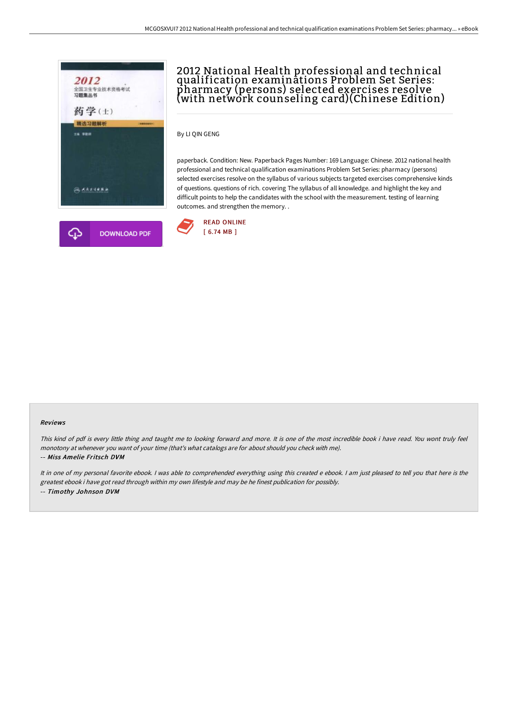

# 2012 National Health professional and technical qualification examinations Problem Set Series: pharmacy (persons) selected exercises resolve (with network counseling card)(Chinese Edition)

By LI QIN GENG

paperback. Condition: New. Paperback Pages Number: 169 Language: Chinese. 2012 national health professional and technical qualification examinations Problem Set Series: pharmacy (persons) selected exercises resolve on the syllabus of various subjects targeted exercises comprehensive kinds of questions. questions of rich. covering The syllabus of all knowledge. and highlight the key and difficult points to help the candidates with the school with the measurement. testing of learning outcomes. and strengthen the memory. .



#### Reviews

This kind of pdf is every little thing and taught me to looking forward and more. It is one of the most incredible book i have read. You wont truly feel monotony at whenever you want of your time (that's what catalogs are for about should you check with me).

-- Miss Amelie Fritsch DVM

It in one of my personal favorite ebook. <sup>I</sup> was able to comprehended everything using this created <sup>e</sup> ebook. <sup>I</sup> am just pleased to tell you that here is the greatest ebook i have got read through within my own lifestyle and may be he finest publication for possibly. -- Timothy Johnson DVM